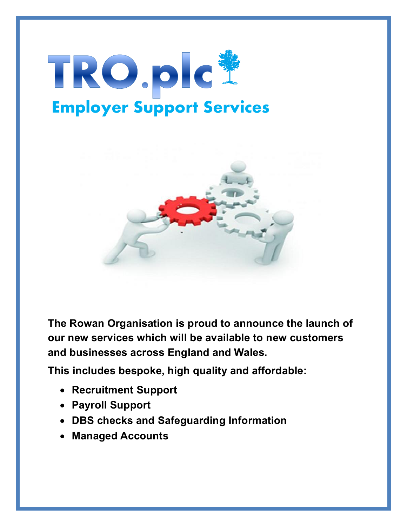



**The Rowan Organisation is proud to announce the launch of our new services which will be available to new customers and businesses across England and Wales.**

**This includes bespoke, high quality and affordable:**

- **Recruitment Support**
- **Payroll Support**
- **DBS checks and Safeguarding Information**
- **Managed Accounts**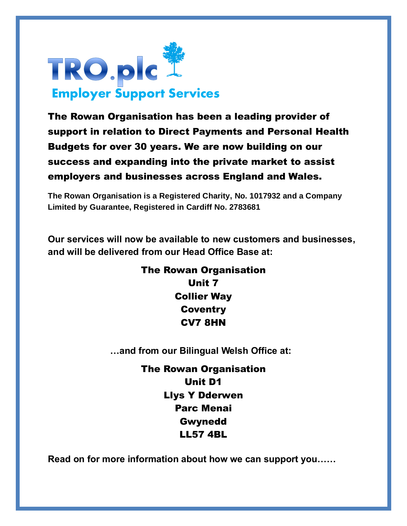

The Rowan Organisation has been a leading provider of support in relation to Direct Payments and Personal Health Budgets for over 30 years. We are now building on our success and expanding into the private market to assist employers and businesses across England and Wales.

**The Rowan Organisation is a Registered Charity, No. 1017932 and a Company Limited by Guarantee, Registered in Cardiff No. 2783681**

**Our services will now be available to new customers and businesses, and will be delivered from our Head Office Base at:** 

> The Rowan Organisation Unit 7 Collier Way **Coventry** CV7 8HN

 **…and from our Bilingual Welsh Office at:**

The Rowan Organisation Unit D1 Llys Y Dderwen Parc Menai Gwynedd LL57 4BL

**Read on for more information about how we can support you……**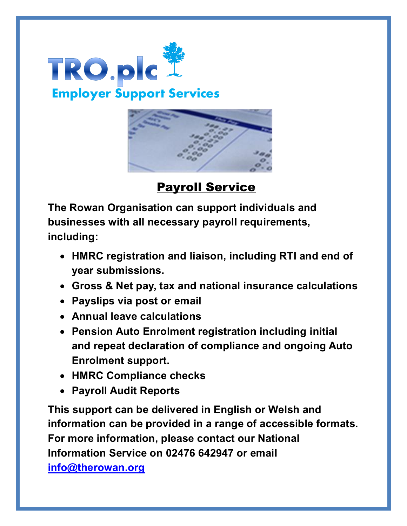



**Payroll Service** 

**The Rowan Organisation can support individuals and businesses with all necessary payroll requirements, including:**

- **HMRC registration and liaison, including RTI and end of year submissions.**
- **Gross & Net pay, tax and national insurance calculations**
- **Payslips via post or email**
- **Annual leave calculations**
- **Pension Auto Enrolment registration including initial and repeat declaration of compliance and ongoing Auto Enrolment support.**
- **HMRC Compliance checks**
- **Payroll Audit Reports**

**This support can be delivered in English or Welsh and information can be provided in a range of accessible formats. For more information, please contact our National Information Service on 02476 642947 or email [info@therowan.org](mailto:info@therowan.org)**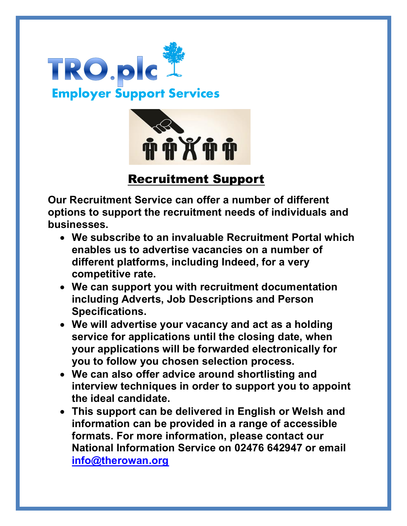



## Recruitment Support

**Our Recruitment Service can offer a number of different options to support the recruitment needs of individuals and businesses.** 

- **We subscribe to an invaluable Recruitment Portal which enables us to advertise vacancies on a number of different platforms, including Indeed, for a very competitive rate.**
- **We can support you with recruitment documentation including Adverts, Job Descriptions and Person Specifications.**
- **We will advertise your vacancy and act as a holding service for applications until the closing date, when your applications will be forwarded electronically for you to follow you chosen selection process.**
- **We can also offer advice around shortlisting and interview techniques in order to support you to appoint the ideal candidate.**
- **This support can be delivered in English or Welsh and information can be provided in a range of accessible formats. For more information, please contact our National Information Service on 02476 642947 or email [info@therowan.org](mailto:info@therowan.org)**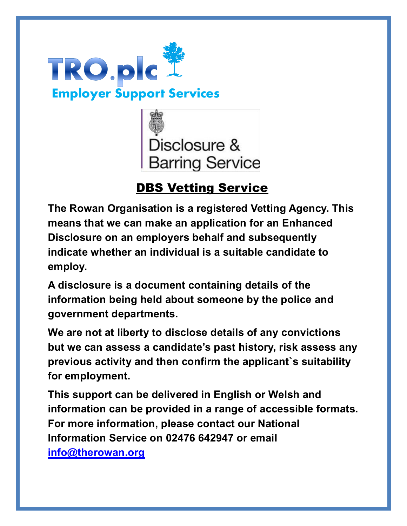



## DBS Vetting Service

**The Rowan Organisation is a registered Vetting Agency. This means that we can make an application for an Enhanced Disclosure on an employers behalf and subsequently indicate whether an individual is a suitable candidate to employ.**

**A disclosure is a document containing details of the information being held about someone by the police and government departments.**

**We are not at liberty to disclose details of any convictions but we can assess a candidate's past history, risk assess any previous activity and then confirm the applicant`s suitability for employment.**

**This support can be delivered in English or Welsh and information can be provided in a range of accessible formats. For more information, please contact our National Information Service on 02476 642947 or email** 

**[info@therowan.org](mailto:info@therowan.org)**